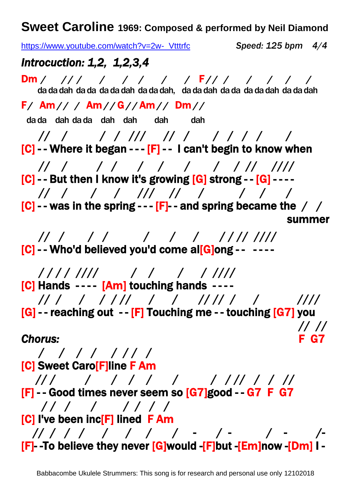**Sweet Caroline 1969: Composed & performed by Neil Diamond**

[https://www.youtube.com/watch?v=2w-\\_Vtttrfc](https://www.youtube.com/watch?v=2w-_Vtttrfc) *Speed: 125 bpm 4/4Introcuction: 1,2, 1,2,3,4*  Dm */ / / / / / / / /* F */ / / / / / /*  da da dah da da da da dah da da dah, da da dah da da da da dah da da dah F */* Am */ / /* Am */ /* G */ /* Am */ /* Dm */ /* da da dah dah dah dah dah dah // / / / /// // / / / / / /  $[C]$  - - Where it began - - -  $[F]$  - - I can't begin to know when // / / / / / / / / // ////  $[C]$  - - But then I know it's growing  $[G]$  strong - -  $[G]$  - - - - // / / / /// // / / / /  $[C]$  - - was in the spring - -  $[F]$  - and spring became the / / summer and the contract of the contract of the contract of the contract of the contract of the contract of the // / / / / / / / / // ////  $[C]$  - - Who'd believed you'd come al $[G]$ ong - - ---- / / / / //// / / / / //// [C] Hands ---- [Am] touching hands -- // / / / / // / / // // / / //// [G] - - reaching out - - [F] Touching me - - touching [G7] you // // *Chorus:* F G7 / / / / / / / / [C] Sweet Caro[F]line F Am // / / / / / / / / // / / // [F] - - Good times never seem so [G7]good - - G7 F G7 / / / / / / / / [C] I've been inc<sup>[F]</sup> lined F Am // / / / / / / / - / - / - /-

[F]- -To believe they never [G]would -[F]but -[Em]now -[Dm] I -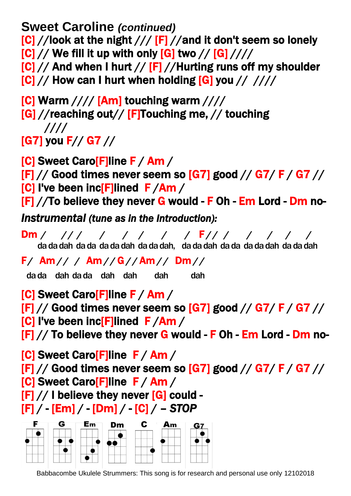**Sweet Caroline** *(continued)*  $[C] //$ look at the night  $// [F] //$ and it don't seem so lonely  $[C] // We fill it up with only [G] two // [G] //$  $[C]/$  And when I hurt  $// [F]$  //Hurting runs off my shoulder  $|C|$  // How can I hurt when holding  $|G|$  you // ////

 $[C]$  Warm  $///$  [Am] touching warm  $///$ [G] //reaching out// [F]Touching me, // touching

 //// [G7] you F// G7 //

[C] Sweet Caro[F]line F / Am /  $[F]$  // Good times never seem so  $[G7]$  good //  $G7/$  F /  $G7$  // [C] I've been inc[F]lined F /Am /

 $[F]/$  To believe they never G would - F Oh - Em Lord - Dm no-

*Instrumental (tune as in the Introduction):* 

Dm */ / / / / / / / /* F */ / / / / / /*  da da dah da da da da dah da da dah, da da dah da da da da dah da da dah

F */* Am */ / /* Am */ /* G */ /* Am */ /* Dm */ /*

da da dah dah dah dah dah dah

[C] Sweet Caro[F]line F / Am /  $[F]$  // Good times never seem so  $[G7]$  good //  $G7/$  F /  $G7$  // [C] I've been inc[F]lined F /Am /  $[F]/$  To believe they never G would - F Oh - Em Lord - Dm no-

[C] Sweet Caro[F]line F / Am /  $[F]$  // Good times never seem so  $[G7]$  good //  $G7/$  F /  $G7$  // [C] Sweet Caro[F]line F / Am /  $[F]//$  I believe they never  $[G]$  could -[F] / - [Em] / - [Dm] / - [C] / – *STOP* 



Babbacombe Ukulele Strummers: This song is for research and personal use only 12102018